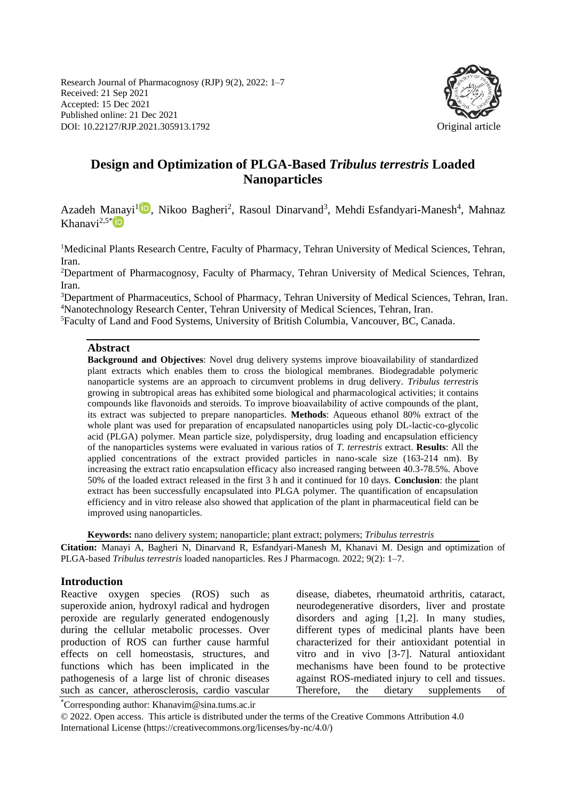Research Journal of Pharmacognosy (RJP) 9(2), 2022: 1–7 Received: 21 Sep 2021 Accepted: 15 Dec 2021 Published online: 21 Dec 2021 DOI: 10.22127/RJP.2021.305913.1792 Original article



# **Design and Optimization of PLGA-Based** *Tribulus terrestris* **Loaded Nanoparticles**

Azadeh Manayi<sup>[1](https://orcid.org/0000-0003-4414-4818)</sup><sup>1</sup>, Nikoo Bagheri<sup>2</sup>, Rasoul Dinarvand<sup>3</sup>, Mehdi Esfandyari-Manesh<sup>4</sup>, Mahnaz Khanavi $^{2,5}$ <sup>[\\*](https://orcid.org/0000-0002-4053-6331)</sup>

<sup>1</sup>Medicinal Plants Research Centre, Faculty of Pharmacy, Tehran University of Medical Sciences, Tehran, Iran.

<sup>2</sup>Department of Pharmacognosy, Faculty of Pharmacy, Tehran University of Medical Sciences, Tehran, Iran.

<sup>3</sup>Department of Pharmaceutics, School of Pharmacy, Tehran University of Medical Sciences, Tehran, Iran. <sup>4</sup>Nanotechnology Research Center, Tehran University of Medical Sciences, Tehran, Iran.

<sup>5</sup>Faculty of Land and Food Systems, University of British Columbia, Vancouver, BC, Canada.

#### **Abstract**

**Background and Objectives**: Novel drug delivery systems improve bioavailability of standardized plant extracts which enables them to cross the biological membranes. Biodegradable polymeric nanoparticle systems are an approach to circumvent problems in drug delivery. *Tribulus terrestris* growing in subtropical areas has exhibited some biological and pharmacological activities; it contains compounds like flavonoids and steroids. To improve bioavailability of active compounds of the plant, its extract was subjected to prepare nanoparticles. **Methods**: Aqueous ethanol 80% extract of the whole plant was used for preparation of encapsulated nanoparticles using poly DL-lactic-co-glycolic acid (PLGA) polymer. Mean particle size, polydispersity, drug loading and encapsulation efficiency of the nanoparticles systems were evaluated in various ratios of *T. terrestris* extract. **Results**: All the applied concentrations of the extract provided particles in nano-scale size (163-214 nm). By increasing the extract ratio encapsulation efficacy also increased ranging between 40.3-78.5%. Above 50% of the loaded extract released in the first 3 h and it continued for 10 days. **Conclusion**: the plant extract has been successfully encapsulated into PLGA polymer. The quantification of encapsulation efficiency and in vitro release also showed that application of the plant in pharmaceutical field can be improved using nanoparticles.

**Keywords:** nano delivery system; nanoparticle; plant extract; polymers; *Tribulus terrestris*

**Citation:** Manayi A, Bagheri N, Dinarvand R, Esfandyari-Manesh M, Khanavi M. Design and optimization of PLGA-based *Tribulus terrestris* loaded nanoparticles. Res J Pharmacogn. 2022; 9(2): 1–7.

#### **Introduction**

Reactive oxygen species (ROS) such as superoxide anion, hydroxyl radical and hydrogen peroxide are regularly generated endogenously during the cellular metabolic processes. Over production of ROS can further cause harmful effects on cell homeostasis, structures, and functions which has been implicated in the pathogenesis of a large list of chronic diseases such as cancer, atherosclerosis, cardio vascular disease, diabetes, rheumatoid arthritis, cataract, neurodegenerative disorders, liver and prostate disorders and aging [1,2]. In many studies, different types of medicinal plants have been characterized for their antioxidant potential in vitro and in vivo [3-7]. Natural antioxidant mechanisms have been found to be protective against ROS-mediated injury to cell and tissues. Therefore, the dietary supplements of

\*Corresponding author: Khanavim@sina.tums.ac.ir

© 2022. Open access. This article is distributed under the terms of the Creative Commons Attribution 4.0 International License (https://creativecommons.org/licenses/by-nc/4.0/)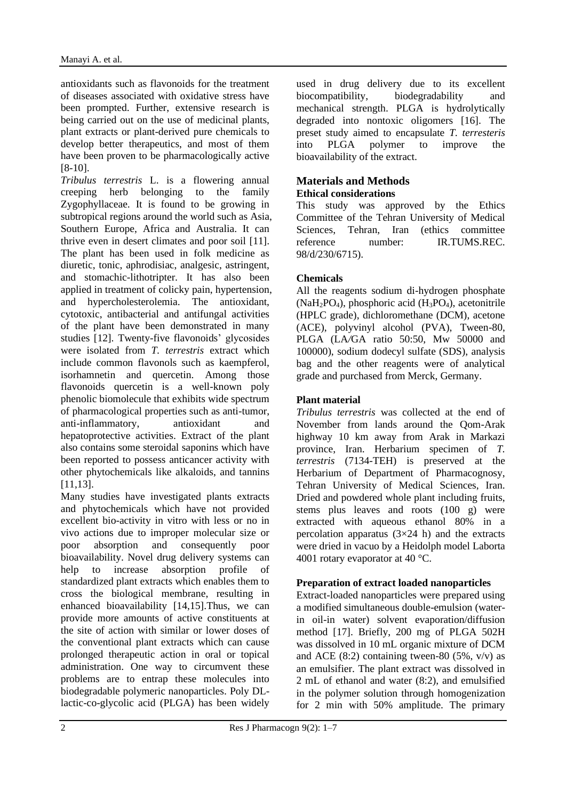antioxidants such as flavonoids for the treatment of diseases associated with oxidative stress have been prompted. Further, extensive research is being carried out on the use of medicinal plants, plant extracts or plant-derived pure chemicals to develop better therapeutics, and most of them have been proven to be pharmacologically active [8-10].

*Tribulus terrestris* L. is a flowering annual creeping herb belonging to the family Zygophyllaceae. It is found to be growing in subtropical regions around the world such as Asia, Southern Europe, Africa and Australia. It can thrive even in desert climates and poor soil [11]. The plant has been used in folk medicine as diuretic, tonic, aphrodisiac, analgesic, astringent, and stomachic-lithotripter. It has also been applied in treatment of colicky pain, hypertension, and hypercholesterolemia. The antioxidant, cytotoxic, antibacterial and antifungal activities of the plant have been demonstrated in many studies [12]. Twenty-five flavonoids' glycosides were isolated from *T. terrestris* extract which include common flavonols such as kaempferol, isorhamnetin and quercetin. Among those flavonoids quercetin is a well-known poly phenolic biomolecule that exhibits wide spectrum of pharmacological properties such as anti-tumor, anti-inflammatory, antioxidant and hepatoprotective activities. Extract of the plant also contains some steroidal saponins which have been reported to possess anticancer activity with other phytochemicals like alkaloids, and tannins [11,13].

Many studies have investigated plants extracts and phytochemicals which have not provided excellent bio-activity in vitro with less or no in vivo actions due to improper molecular size or poor absorption and consequently poor bioavailability. Novel drug delivery systems can help to increase absorption profile of standardized plant extracts which enables them to cross the biological membrane, resulting in enhanced bioavailability [14,15].Thus, we can provide more amounts of active constituents at the site of action with similar or lower doses of the conventional plant extracts which can cause prolonged therapeutic action in oral or topical administration. One way to circumvent these problems are to entrap these molecules into biodegradable polymeric nanoparticles. Poly DLlactic-co-glycolic acid (PLGA) has been widely used in drug delivery due to its excellent biocompatibility, biodegradability and mechanical strength. PLGA is hydrolytically degraded into nontoxic oligomers [16]. The preset study aimed to encapsulate *T. terresteris* into PLGA polymer to improve the bioavailability of the extract.

#### **Materials and Methods Ethical considerations**

This study was approved by the Ethics Committee of the Tehran University of Medical Sciences, Tehran, Iran (ethics committee) reference number: IR.TUMS.REC. 98/d/230/6715).

# **Chemicals**

All the reagents sodium di-hydrogen phosphate  $(NaH<sub>2</sub>PO<sub>4</sub>)$ , phosphoric acid  $(H<sub>3</sub>PO<sub>4</sub>)$ , acetonitrile (HPLC grade), dichloromethane (DCM), acetone (ACE), polyvinyl alcohol (PVA), Tween-80, PLGA (LA*/*GA ratio 50:50, Mw 50000 and 100000), sodium dodecyl sulfate (SDS), analysis bag and the other reagents were of analytical grade and purchased from Merck, Germany.

# **Plant material**

*Tribulus terrestris* was collected at the end of November from lands around the Qom-Arak highway 10 km away from Arak in Markazi province, Iran. Herbarium specimen of *T. terrestris* (7134-TEH) is preserved at the Herbarium of Department of Pharmacognosy, Tehran University of Medical Sciences, Iran. Dried and powdered whole plant including fruits, stems plus leaves and roots (100 g) were extracted with aqueous ethanol 80% in a percolation apparatus  $(3\times24)$  h) and the extracts were dried in vacuo by a Heidolph model Laborta 4001 rotary evaporator at 40 °C.

### **Preparation of extract loaded nanoparticles**

Extract-loaded nanoparticles were prepared using a modified simultaneous double-emulsion (waterin oil-in water) solvent evaporation/diffusion method [17]. Briefly, 200 mg of PLGA 502H was dissolved in 10 mL organic mixture of DCM and ACE  $(8:2)$  containing tween-80  $(5\%, v/v)$  as an emulsifier. The plant extract was dissolved in 2 mL of ethanol and water (8:2), and emulsified in the polymer solution through homogenization for 2 min with 50% amplitude. The primary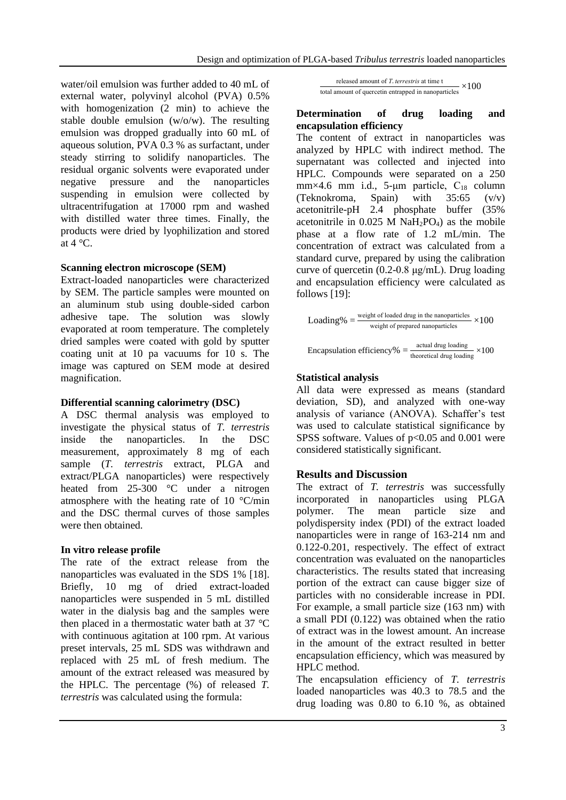water/oil emulsion was further added to 40 mL of external water, polyvinyl alcohol (PVA) 0.5% with homogenization (2 min) to achieve the stable double emulsion (w/o/w). The resulting emulsion was dropped gradually into 60 mL of aqueous solution, PVA 0.3 % as surfactant, under steady stirring to solidify nanoparticles. The residual organic solvents were evaporated under negative pressure and the nanoparticles suspending in emulsion were collected by ultracentrifugation at 17000 rpm and washed with distilled water three times. Finally, the products were dried by lyophilization and stored at  $4^{\circ}$ C.

#### **Scanning electron microscope (SEM)**

Extract-loaded nanoparticles were characterized by SEM. The particle samples were mounted on an aluminum stub using double-sided carbon adhesive tape. The solution was slowly evaporated at room temperature. The completely dried samples were coated with gold by sputter coating unit at 10 pa vacuums for 10 s. The image was captured on SEM mode at desired magnification.

### **Differential scanning calorimetry (DSC)**

A DSC thermal analysis was employed to investigate the physical status of *T. terrestris* inside the nanoparticles. In the DSC measurement, approximately 8 mg of each sample (*T. terrestris* extract, PLGA and extract/PLGA nanoparticles) were respectively heated from 25-300 °C under a nitrogen atmosphere with the heating rate of 10 °C/min and the DSC thermal curves of those samples were then obtained.

### **In vitro release profile**

The rate of the extract release from the nanoparticles was evaluated in the SDS 1% [18]. Briefly, 10 mg of dried extract-loaded nanoparticles were suspended in 5 mL distilled water in the dialysis bag and the samples were then placed in a thermostatic water bath at 37 °C with continuous agitation at 100 rpm. At various preset intervals, 25 mL SDS was withdrawn and replaced with 25 mL of fresh medium. The amount of the extract released was measured by the HPLC. The percentage (%) of released *T. terrestris* was calculated using the formula:

released amount of *T*. *terrestris* at time t total amount of quercetin entrapped in nanoparticles  $\times 100$ 

#### **Determination of drug loading and encapsulation efficiency**

The content of extract in nanoparticles was analyzed by HPLC with indirect method. The supernatant was collected and injected into HPLC. Compounds were separated on a 250 mm×4.6 mm i.d., 5-µm particle,  $C_{18}$  column (Teknokroma, Spain) with 35:65 (v/v) acetonitrile-pH 2.4 phosphate buffer (35% acetonitrile in  $0.025$  M NaH<sub>2</sub>PO<sub>4</sub>) as the mobile phase at a flow rate of 1.2 mL/min. The concentration of extract was calculated from a standard curve, prepared by using the calibration curve of quercetin (0.2-0.8 μg/mL). Drug loading and encapsulation efficiency were calculated as follows [19]:

$$
Loading\% = \frac{\text{weight of loaded drug in the nanoparticles}}{\text{weight of prepared nanoparticles}} \times 100
$$

Encapsulation efficiency% = 
$$
\frac{\text{actual drug loading}}{\text{theoretical drug loading}} \times 100
$$

### **Statistical analysis**

All data were expressed as means (standard deviation, SD), and analyzed with one-way analysis of variance (ANOVA). Schaffer's test was used to calculate statistical significance by SPSS software. Values of p<0.05 and 0.001 were considered statistically significant.

### **Results and Discussion**

The extract of *T. terrestris* was successfully incorporated in nanoparticles using PLGA polymer. The mean particle size and polydispersity index (PDI) of the extract loaded nanoparticles were in range of 163-214 nm and 0.122-0.201, respectively. The effect of extract concentration was evaluated on the nanoparticles characteristics. The results stated that increasing portion of the extract can cause bigger size of particles with no considerable increase in PDI. For example, a small particle size (163 nm) with a small PDI (0.122) was obtained when the ratio of extract was in the lowest amount. An increase in the amount of the extract resulted in better encapsulation efficiency, which was measured by HPLC method.

The encapsulation efficiency of *T. terrestris* loaded nanoparticles was 40.3 to 78.5 and the drug loading was 0.80 to 6.10 %, as obtained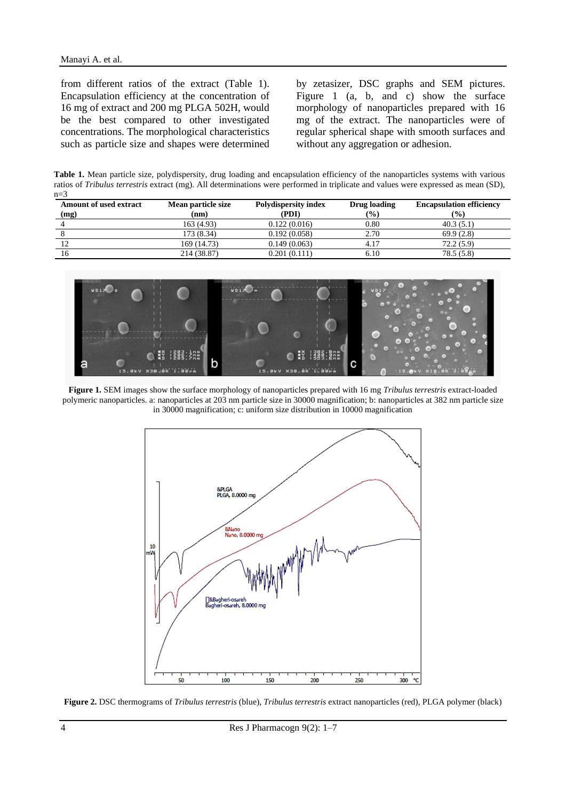from different ratios of the extract (Table 1). Encapsulation efficiency at the concentration of 16 mg of extract and 200 mg PLGA 502H, would be the best compared to other investigated concentrations. The morphological characteristics such as particle size and shapes were determined

by zetasizer, DSC graphs and SEM pictures. Figure 1 (a, b, and c) show the surface morphology of nanoparticles prepared with 16 mg of the extract. The nanoparticles were of regular spherical shape with smooth surfaces and without any aggregation or adhesion.

**Table 1.** Mean particle size, polydispersity, drug loading and encapsulation efficiency of the nanoparticles systems with various ratios of *Tribulus terrestris* extract (mg). All determinations were performed in triplicate and values were expressed as mean (SD),  $n=3$ 

| <b>Amount of used extract</b><br>(mg) | Mean particle size<br>(nm) | Polydispersity index<br>(PDI) | Drug loading<br>(%) | <b>Encapsulation efficiency</b><br>$(\%)$ |
|---------------------------------------|----------------------------|-------------------------------|---------------------|-------------------------------------------|
|                                       | 163 (4.93)                 | 0.122(0.016)                  | 0.80                | 40.3(5.1)                                 |
|                                       | 173 (8.34)                 | 0.192(0.058)                  | 2.70                | 69.9(2.8)                                 |
|                                       | 169 (14.73)                | 0.149(0.063)                  | 4.17                | 72.2 (5.9)                                |
| 16                                    | 214 (38.87)                | 0.201(0.111)                  | 6.10                | 78.5(5.8)                                 |



**Figure 1.** SEM images show the surface morphology of nanoparticles prepared with 16 mg *Tribulus terrestris* extract-loaded polymeric nanoparticles. a: nanoparticles at 203 nm particle size in 30000 magnification; b: nanoparticles at 382 nm particle size in 30000 magnification; c: uniform size distribution in 10000 magnification



**Figure 2.** DSC thermograms of *Tribulus terrestris* (blue), *Tribulus terrestris* extract nanoparticles (red), PLGA polymer (black)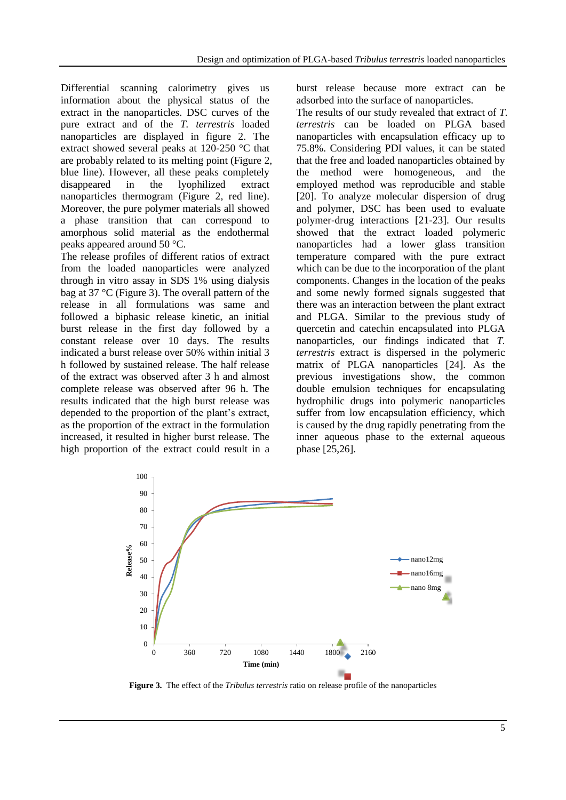Differential scanning calorimetry gives us information about the physical status of the extract in the nanoparticles. DSC curves of the pure extract and of the *T. terrestris* loaded nanoparticles are displayed in figure 2. The extract showed several peaks at 120-250 °C that are probably related to its melting point (Figure 2, blue line). However, all these peaks completely disappeared in the lyophilized extract nanoparticles thermogram (Figure 2, red line). Moreover, the pure polymer materials all showed a phase transition that can correspond to amorphous solid material as the endothermal peaks appeared around 50 °C.

The release profiles of different ratios of extract from the loaded nanoparticles were analyzed through in vitro assay in SDS 1% using dialysis bag at 37 °C (Figure 3). The overall pattern of the release in all formulations was same and followed a biphasic release kinetic, an initial burst release in the first day followed by a constant release over 10 days. The results indicated a burst release over 50% within initial 3 h followed by sustained release. The half release of the extract was observed after 3 h and almost complete release was observed after 96 h. The results indicated that the high burst release was depended to the proportion of the plant's extract, as the proportion of the extract in the formulation increased, it resulted in higher burst release. The high proportion of the extract could result in a burst release because more extract can be adsorbed into the surface of nanoparticles.

The results of our study revealed that extract of *T. terrestris* can be loaded on PLGA based nanoparticles with encapsulation efficacy up to 75.8%. Considering PDI values, it can be stated that the free and loaded nanoparticles obtained by the method were homogeneous, and the employed method was reproducible and stable [20]. To analyze molecular dispersion of drug and polymer, DSC has been used to evaluate polymer-drug interactions [21-23]. Our results showed that the extract loaded polymeric nanoparticles had a lower glass transition temperature compared with the pure extract which can be due to the incorporation of the plant components. Changes in the location of the peaks and some newly formed signals suggested that there was an interaction between the plant extract and PLGA. Similar to the previous study of quercetin and catechin encapsulated into PLGA nanoparticles, our findings indicated that *T. terrestris* extract is dispersed in the polymeric matrix of PLGA nanoparticles [24]. As the previous investigations show, the common double emulsion techniques for encapsulating hydrophilic drugs into polymeric nanoparticles suffer from low encapsulation efficiency, which is caused by the drug rapidly penetrating from the inner aqueous phase to the external aqueous phase [25,26].



**Figure 3.** The effect of the *Tribulus terrestris* ratio on release profile of the nanoparticles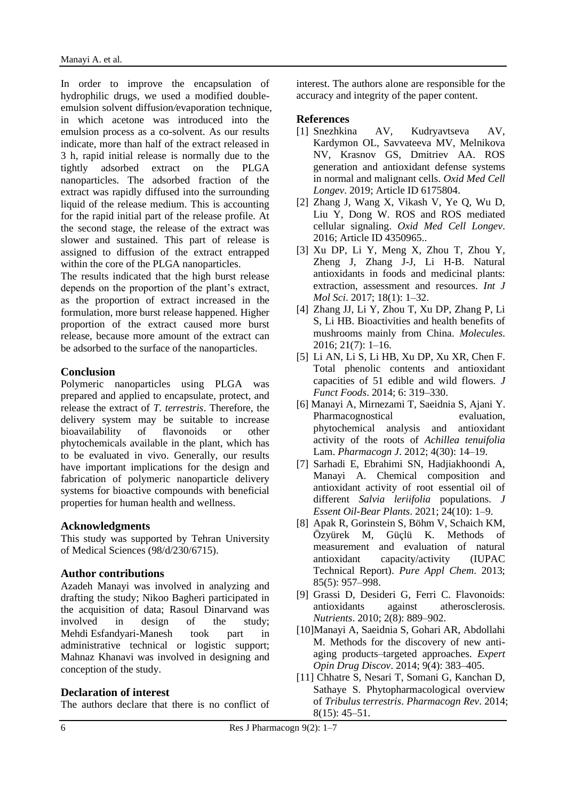In order to improve the encapsulation of hydrophilic drugs, we used a modified doubleemulsion solvent diffusion*/*evaporation technique, in which acetone was introduced into the emulsion process as a co-solvent. As our results indicate, more than half of the extract released in 3 h, rapid initial release is normally due to the tightly adsorbed extract on the PLGA nanoparticles. The adsorbed fraction of the extract was rapidly diffused into the surrounding liquid of the release medium. This is accounting for the rapid initial part of the release profile. At the second stage, the release of the extract was slower and sustained. This part of release is assigned to diffusion of the extract entrapped within the core of the PLGA nanoparticles.

The results indicated that the high burst release depends on the proportion of the plant's extract, as the proportion of extract increased in the formulation, more burst release happened. Higher proportion of the extract caused more burst release, because more amount of the extract can be adsorbed to the surface of the nanoparticles.

## **Conclusion**

Polymeric nanoparticles using PLGA was prepared and applied to encapsulate, protect, and release the extract of *T. terrestris*. Therefore, the delivery system may be suitable to increase bioavailability of flavonoids or other phytochemicals available in the plant, which has to be evaluated in vivo. Generally, our results have important implications for the design and fabrication of polymeric nanoparticle delivery systems for bioactive compounds with beneficial properties for human health and wellness.

# **Acknowledgments**

This study was supported by Tehran University of Medical Sciences (98/d/230/6715).

# **Author contributions**

Azadeh Manayi was involved in analyzing and drafting the study; Nikoo Bagheri participated in the acquisition of data; Rasoul Dinarvand was involved in design of the study; Mehdi Esfandyari-Manesh took part in administrative technical or logistic support; Mahnaz Khanavi was involved in designing and conception of the study.

# **Declaration of interest**

The authors declare that there is no conflict of

interest. The authors alone are responsible for the accuracy and integrity of the paper content.

## **References**

- [1] Snezhkina AV, Kudryavtseva AV, Kardymon OL, Savvateeva MV, Melnikova NV, Krasnov GS, Dmitriev AA. ROS generation and antioxidant defense systems in normal and malignant cells. *Oxid Med Cell Longev*. 2019; Article ID 6175804.
- [2] Zhang J, Wang X, Vikash V, Ye Q, Wu D, Liu Y, Dong W. ROS and ROS mediated cellular signaling. *Oxid Med Cell Longev*. 2016; Article ID 4350965..
- [3] Xu DP, Li Y, Meng X, Zhou T, Zhou Y, Zheng J, Zhang J-J, Li H-B. Natural antioxidants in foods and medicinal plants: extraction, assessment and resources. *Int J Mol Sci*. 2017; 18(1): 1–32.
- [4] Zhang JJ, Li Y, Zhou T, Xu DP, Zhang P, Li S, Li HB. Bioactivities and health benefits of mushrooms mainly from China. *Molecules*. 2016; 21(7): 1–16.
- [5] Li AN, Li S, Li HB, Xu DP, Xu XR, Chen F. Total phenolic contents and antioxidant capacities of 51 edible and wild flowers. *J Funct Foods*. 2014; 6: 319–330.
- [6] Manayi A, Mirnezami T, Saeidnia S, Ajani Y. Pharmacognostical evaluation, phytochemical analysis and antioxidant activity of the roots of *Achillea tenuifolia* Lam. *Pharmacogn J*. 2012; 4(30): 14–19.
- [7] Sarhadi E, Ebrahimi SN, Hadjiakhoondi A, Manayi A. Chemical composition and antioxidant activity of root essential oil of different *Salvia leriifolia* populations. *J Essent Oil-Bear Plants*. 2021; 24(10): 1–9.
- [8] Apak R, Gorinstein S, Böhm V, Schaich KM, Özyürek M, Güçlü K. Methods of measurement and evaluation of natural antioxidant capacity/activity (IUPAC Technical Report). *Pure Appl Chem*. 2013; 85(5): 957–998.
- [9] Grassi D, Desideri G, Ferri C. Flavonoids: antioxidants against atherosclerosis. *Nutrients*. 2010; 2(8): 889–902.
- [10]Manayi A, Saeidnia S, Gohari AR, Abdollahi M. Methods for the discovery of new antiaging products–targeted approaches. *Expert Opin Drug Discov*. 2014; 9(4): 383–405.
- [11] Chhatre S, Nesari T, Somani G, Kanchan D, Sathaye S. Phytopharmacological overview of *Tribulus terrestris*. *Pharmacogn Rev*. 2014; 8(15): 45–51.